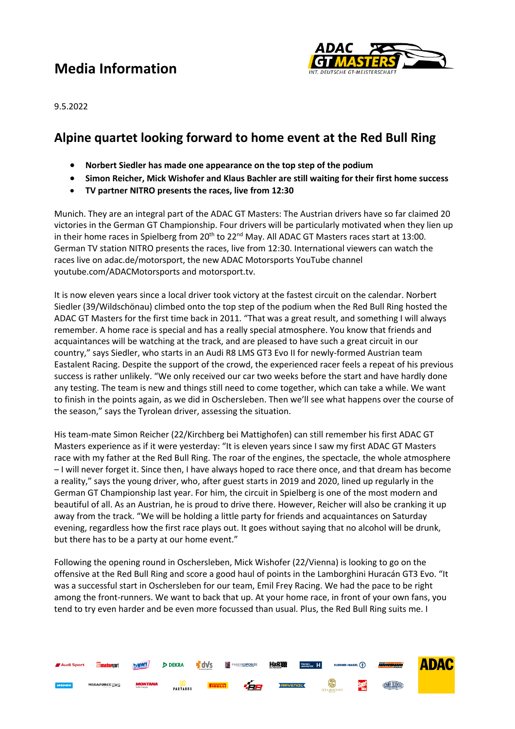# **Media Information**



9.5.2022

### **Alpine quartet looking forward to home event at the Red Bull Ring**

- **Norbert Siedler has made one appearance on the top step of the podium**
- **Simon Reicher, Mick Wishofer and Klaus Bachler are still waiting for their first home success**
- **TV partner NITRO presents the races, live from 12:30**

Munich. They are an integral part of the ADAC GT Masters: The Austrian drivers have so far claimed 20 victories in the German GT Championship. Four drivers will be particularly motivated when they lien up in their home races in Spielberg from  $20<sup>th</sup>$  to  $22<sup>nd</sup>$  May. All ADAC GT Masters races start at 13:00. German TV station NITRO presents the races, live from 12:30. International viewers can watch the races live on adac.de/motorsport, the new ADAC Motorsports YouTube channel youtube.com/ADACMotorsports and motorsport.tv.

It is now eleven years since a local driver took victory at the fastest circuit on the calendar. Norbert Siedler (39/Wildschönau) climbed onto the top step of the podium when the Red Bull Ring hosted the ADAC GT Masters for the first time back in 2011. "That was a great result, and something I will always remember. A home race is special and has a really special atmosphere. You know that friends and acquaintances will be watching at the track, and are pleased to have such a great circuit in our country," says Siedler, who starts in an Audi R8 LMS GT3 Evo II for newly-formed Austrian team Eastalent Racing. Despite the support of the crowd, the experienced racer feels a repeat of his previous success is rather unlikely. "We only received our car two weeks before the start and have hardly done any testing. The team is new and things still need to come together, which can take a while. We want to finish in the points again, as we did in Oschersleben. Then we'll see what happens over the course of the season," says the Tyrolean driver, assessing the situation.

His team-mate Simon Reicher (22/Kirchberg bei Mattighofen) can still remember his first ADAC GT Masters experience as if it were yesterday: "It is eleven years since I saw my first ADAC GT Masters race with my father at the Red Bull Ring. The roar of the engines, the spectacle, the whole atmosphere – I will never forget it. Since then, I have always hoped to race there once, and that dream has become a reality," says the young driver, who, after guest starts in 2019 and 2020, lined up regularly in the German GT Championship last year. For him, the circuit in Spielberg is one of the most modern and beautiful of all. As an Austrian, he is proud to drive there. However, Reicher will also be cranking it up away from the track. "We will be holding a little party for friends and acquaintances on Saturday evening, regardless how the first race plays out. It goes without saying that no alcohol will be drunk, but there has to be a party at our home event."

Following the opening round in Oschersleben, Mick Wishofer (22/Vienna) is looking to go on the offensive at the Red Bull Ring and score a good haul of points in the Lamborghini Huracán GT3 Evo. "It was a successful start in Oschersleben for our team, Emil Frey Racing. We had the pace to be right among the front-runners. We want to back that up. At your home race, in front of your own fans, you tend to try even harder and be even more focussed than usual. Plus, the Red Bull Ring suits me. I